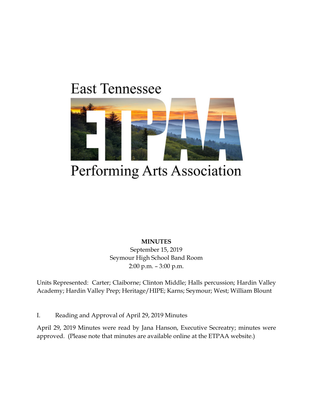# **East Tennessee**



# Performing Arts Association

**MINUTES** September 15, 2019 Seymour High School Band Room 2:00 p.m. – 3:00 p.m.

Units Represented: Carter; Claiborne; Clinton Middle; Halls percussion; Hardin Valley Academy; Hardin Valley Prep; Heritage/HIPE; Karns; Seymour; West; William Blount

I. Reading and Approval of April 29, 2019 Minutes

April 29, 2019 Minutes were read by Jana Hanson, Executive Secreatry; minutes were approved. (Please note that minutes are available online at the ETPAA website.)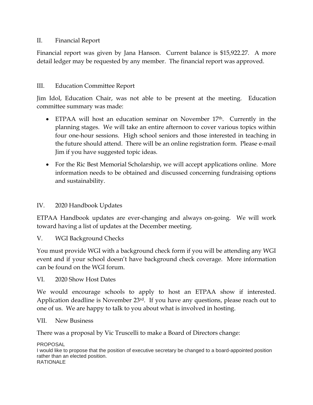#### II. Financial Report

Financial report was given by Jana Hanson. Current balance is \$15,922.27. A more detail ledger may be requested by any member. The financial report was approved.

### III. Education Committee Report

Jim Idol, Education Chair, was not able to be present at the meeting. Education committee summary was made:

- ETPAA will host an education seminar on November 17<sup>th</sup>. Currently in the planning stages. We will take an entire afternoon to cover various topics within four one-hour sessions. High school seniors and those interested in teaching in the future should attend. There will be an online registration form. Please e-mail Jim if you have suggested topic ideas.
- For the Ric Best Memorial Scholarship, we will accept applications online. More information needs to be obtained and discussed concerning fundraising options and sustainability.

### IV. 2020 Handbook Updates

ETPAA Handbook updates are ever-changing and always on-going. We will work toward having a list of updates at the December meeting.

V. WGI Background Checks

You must provide WGI with a background check form if you will be attending any WGI event and if your school doesn't have background check coverage. More information can be found on the WGI forum.

VI. 2020 Show Host Dates

We would encourage schools to apply to host an ETPAA show if interested. Application deadline is November 23rd. If you have any questions, please reach out to one of us. We are happy to talk to you about what is involved in hosting.

#### VII. New Business

There was a proposal by Vic Truscelli to make a Board of Directors change:

PROPOSAL I would like to propose that the position of executive secretary be changed to a board-appointed position rather than an elected position. RATIONALE